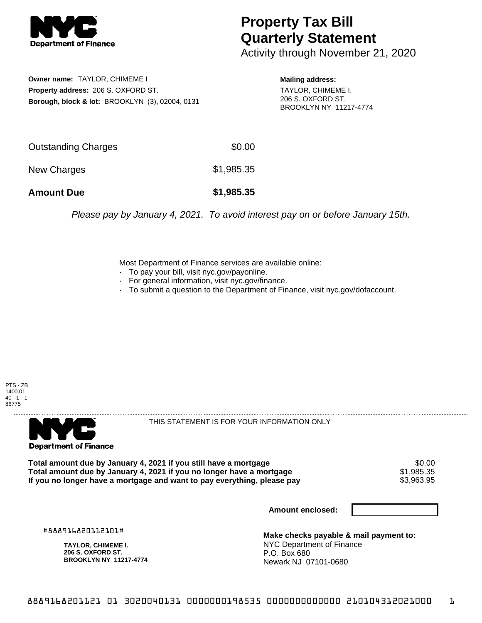

## **Property Tax Bill Quarterly Statement**

Activity through November 21, 2020

**Owner name:** TAYLOR, CHIMEME I **Property address:** 206 S. OXFORD ST. **Borough, block & lot:** BROOKLYN (3), 02004, 0131 **Mailing address:**

TAYLOR, CHIMEME I. 206 S. OXFORD ST. BROOKLYN NY 11217-4774

| <b>Amount Due</b>   | \$1,985.35 |
|---------------------|------------|
| New Charges         | \$1,985.35 |
| Outstanding Charges | \$0.00     |

Please pay by January 4, 2021. To avoid interest pay on or before January 15th.

Most Department of Finance services are available online:

- · To pay your bill, visit nyc.gov/payonline.
- For general information, visit nyc.gov/finance.
- · To submit a question to the Department of Finance, visit nyc.gov/dofaccount.





THIS STATEMENT IS FOR YOUR INFORMATION ONLY

Total amount due by January 4, 2021 if you still have a mortgage **\$0.00** \$0.00<br>Total amount due by January 4, 2021 if you no longer have a mortgage **\$1,985.35 Total amount due by January 4, 2021 if you no longer have a mortgage**  $$1,985.35$ **<br>If you no longer have a mortgage and want to pay everything, please pay**  $$3,963.95$ If you no longer have a mortgage and want to pay everything, please pay

**Amount enclosed:**

#888916820112101#

**TAYLOR, CHIMEME I. 206 S. OXFORD ST. BROOKLYN NY 11217-4774**

**Make checks payable & mail payment to:** NYC Department of Finance P.O. Box 680 Newark NJ 07101-0680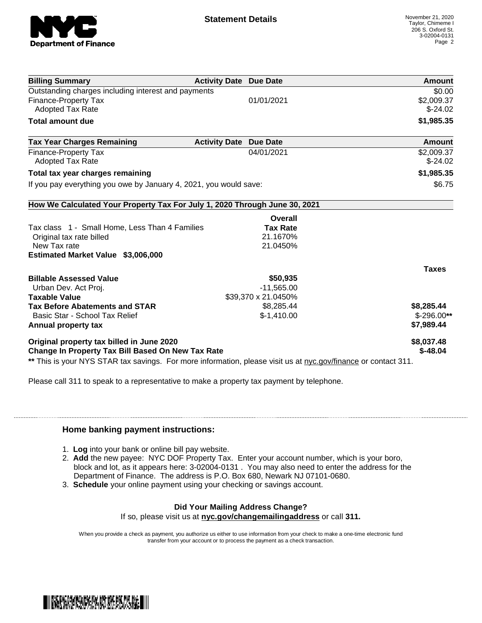

| <b>Billing Summary</b>                                                                                                 | <b>Activity Date Due Date</b> | Amount        |
|------------------------------------------------------------------------------------------------------------------------|-------------------------------|---------------|
| Outstanding charges including interest and payments                                                                    |                               | \$0.00        |
| <b>Finance-Property Tax</b>                                                                                            | 01/01/2021                    | \$2,009.37    |
| <b>Adopted Tax Rate</b>                                                                                                |                               | $$-24.02$     |
| <b>Total amount due</b>                                                                                                |                               | \$1,985.35    |
| <b>Tax Year Charges Remaining</b>                                                                                      | <b>Activity Date Due Date</b> | <b>Amount</b> |
| <b>Finance-Property Tax</b>                                                                                            | 04/01/2021                    | \$2,009.37    |
| <b>Adopted Tax Rate</b>                                                                                                |                               | $$-24.02$     |
| Total tax year charges remaining                                                                                       |                               | \$1,985.35    |
| If you pay everything you owe by January 4, 2021, you would save:                                                      |                               | \$6.75        |
| How We Calculated Your Property Tax For July 1, 2020 Through June 30, 2021                                             |                               |               |
|                                                                                                                        | Overall                       |               |
| Tax class 1 - Small Home, Less Than 4 Families                                                                         | <b>Tax Rate</b>               |               |
| Original tax rate billed                                                                                               | 21.1670%                      |               |
| New Tax rate                                                                                                           | 21.0450%                      |               |
| Estimated Market Value \$3,006,000                                                                                     |                               |               |
|                                                                                                                        |                               |               |
|                                                                                                                        |                               | <b>Taxes</b>  |
|                                                                                                                        | \$50,935                      |               |
| Urban Dev. Act Proj.                                                                                                   | $-11,565.00$                  |               |
|                                                                                                                        | \$39,370 x 21.0450%           |               |
|                                                                                                                        | \$8,285.44                    | \$8,285.44    |
| Basic Star - School Tax Relief                                                                                         | $$-1,410.00$                  | $$-296.00**$  |
| <b>Billable Assessed Value</b><br><b>Taxable Value</b><br><b>Tax Before Abatements and STAR</b><br>Annual property tax |                               | \$7,989.44    |
| Original property tax billed in June 2020                                                                              |                               | \$8,037.48    |

Please call 311 to speak to a representative to make a property tax payment by telephone.

## **Home banking payment instructions:**

- 1. **Log** into your bank or online bill pay website.
- 2. **Add** the new payee: NYC DOF Property Tax. Enter your account number, which is your boro, block and lot, as it appears here: 3-02004-0131 . You may also need to enter the address for the Department of Finance. The address is P.O. Box 680, Newark NJ 07101-0680.
- 3. **Schedule** your online payment using your checking or savings account.

## **Did Your Mailing Address Change?**

If so, please visit us at **nyc.gov/changemailingaddress** or call **311.**

When you provide a check as payment, you authorize us either to use information from your check to make a one-time electronic fund transfer from your account or to process the payment as a check transaction.